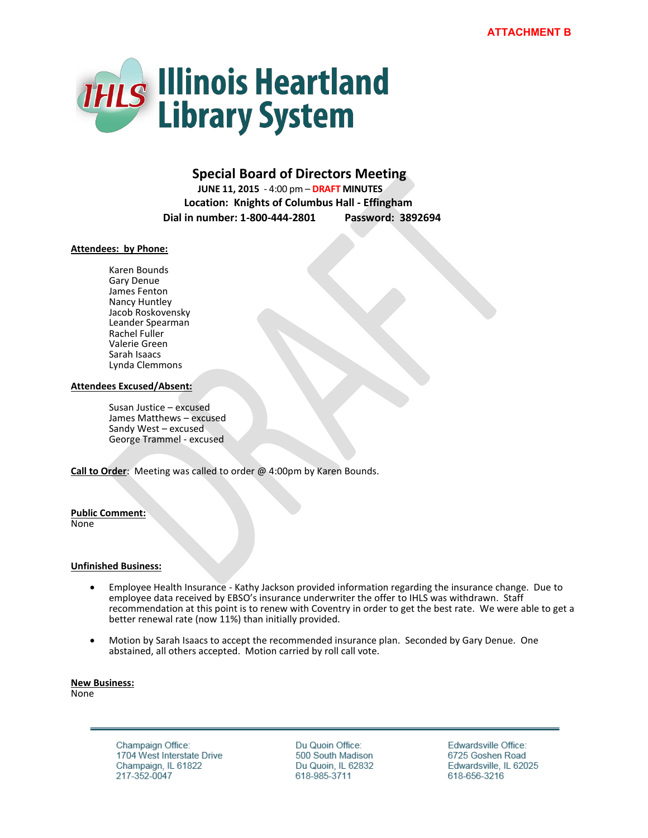

# **Special Board of Directors Meeting**

 **JUNE 11, 2015** - 4:00 pm – **DRAFT MINUTES Location: Knights of Columbus Hall - Effingham Dial in number: 1-800-444-2801 Password: 3892694**

# **Attendees: by Phone:**

Karen Bounds Gary Denue James Fenton Nancy Huntley Jacob Roskovensky Leander Spearman Rachel Fuller Valerie Green Sarah Isaacs Lynda Clemmons

### **Attendees Excused/Absent:**

Susan Justice – excused James Matthews – excused Sandy West – excused George Trammel - excused

**Call to Order**: Meeting was called to order @ 4:00pm by Karen Bounds.

#### **Public Comment:**

None

### **Unfinished Business:**

- Employee Health Insurance Kathy Jackson provided information regarding the insurance change. Due to employee data received by EBSO's insurance underwriter the offer to IHLS was withdrawn. Staff recommendation at this point is to renew with Coventry in order to get the best rate. We were able to get a better renewal rate (now 11%) than initially provided.
- Motion by Sarah Isaacs to accept the recommended insurance plan. Seconded by Gary Denue. One abstained, all others accepted. Motion carried by roll call vote.

**New Business:**  None

> Champaign Office: 1704 West Interstate Drive Champaign, IL 61822 217-352-0047

Du Quoin Office: 500 South Madison Du Quoin, IL 62832 618-985-3711

Edwardsville Office: 6725 Goshen Road Edwardsville, IL 62025 618-656-3216